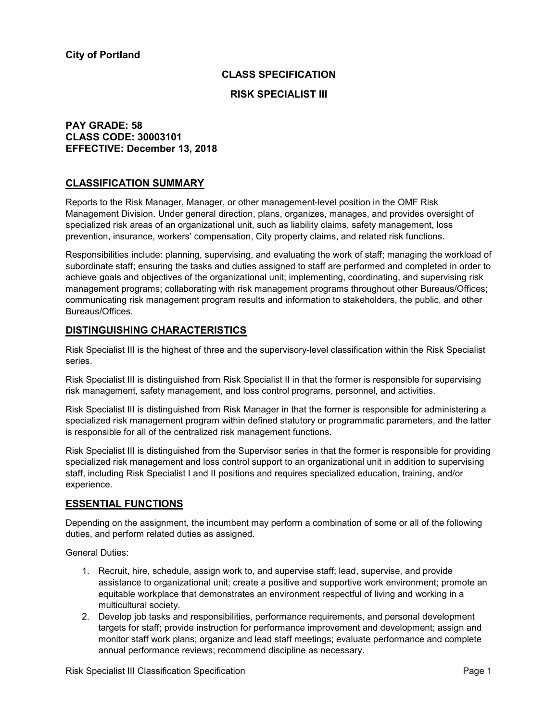# **CLASS SPECIFICATION**

### **RISK SPECIALIST III**

# **PAY GRADE: 58 CLASS CODE: 30003101 EFFECTIVE: December 13, 2018**

# **CLASSIFICATION SUMMARY**

Reports to the Risk Manager, Manager, or other management-level position in the OMF Risk Management Division. Under general direction, plans, organizes, manages, and provides oversight of specialized risk areas of an organizational unit, such as liability claims, safety management, loss prevention, insurance, workers' compensation, City property claims, and related risk functions.

Responsibilities include: planning, supervising, and evaluating the work of staff; managing the workload of subordinate staff; ensuring the tasks and duties assigned to staff are performed and completed in order to achieve goals and objectives of the organizational unit; implementing, coordinating, and supervising risk management programs; collaborating with risk management programs throughout other Bureaus/Offices; communicating risk management program results and information to stakeholders, the public, and other Bureaus/Offices.

# **DISTINGUISHING CHARACTERISTICS**

Risk Specialist III is the highest of three and the supervisory-level classification within the Risk Specialist series.

Risk Specialist III is distinguished from Risk Specialist II in that the former is responsible for supervising risk management, safety management, and loss control programs, personnel, and activities.

Risk Specialist III is distinguished from Risk Manager in that the former is responsible for administering a specialized risk management program within defined statutory or programmatic parameters, and the latter is responsible for all of the centralized risk management functions.

Risk Specialist III is distinguished from the Supervisor series in that the former is responsible for providing specialized risk management and loss control support to an organizational unit in addition to supervising staff, including Risk Specialist I and II positions and requires specialized education, training, and/or experience.

### **ESSENTIAL FUNCTIONS**

Depending on the assignment, the incumbent may perform a combination of some or all of the following duties, and perform related duties as assigned.

General Duties:

- 1. Recruit, hire, schedule, assign work to, and supervise staff; lead, supervise, and provide assistance to organizational unit; create a positive and supportive work environment; promote an equitable workplace that demonstrates an environment respectful of living and working in a multicultural society.
- 2. Develop job tasks and responsibilities, performance requirements, and personal development targets for staff; provide instruction for performance improvement and development; assign and monitor staff work plans; organize and lead staff meetings; evaluate performance and complete annual performance reviews; recommend discipline as necessary.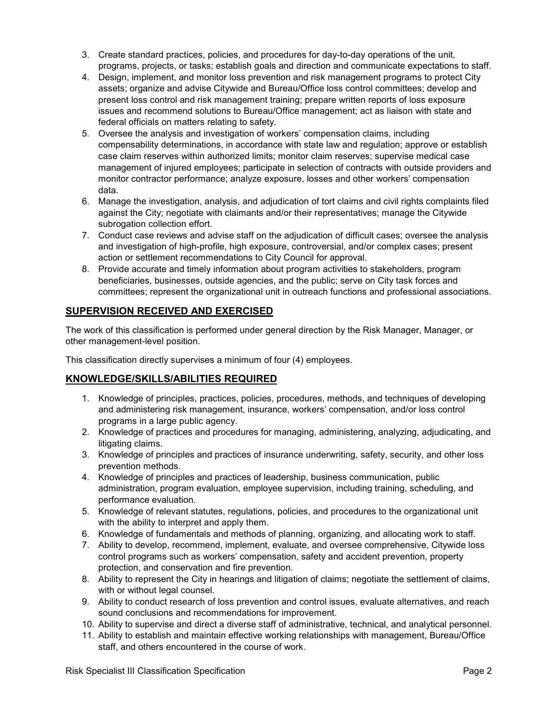- 3. Create standard practices, policies, and procedures for day-to-day operations of the unit, programs, projects, or tasks; establish goals and direction and communicate expectations to staff.
- 4. Design, implement, and monitor loss prevention and risk management programs to protect City assets; organize and advise Citywide and Bureau/Office loss control committees; develop and present loss control and risk management training; prepare written reports of loss exposure issues and recommend solutions to Bureau/Office management; act as liaison with state and federal officials on matters relating to safety.
- 5. Oversee the analysis and investigation of workers' compensation claims, including compensability determinations, in accordance with state law and regulation; approve or establish case claim reserves within authorized limits; monitor claim reserves; supervise medical case management of injured employees; participate in selection of contracts with outside providers and monitor contractor performance; analyze exposure, losses and other workers' compensation data.
- 6. Manage the investigation, analysis, and adjudication of tort claims and civil rights complaints filed against the City; negotiate with claimants and/or their representatives; manage the Citywide subrogation collection effort.
- 7. Conduct case reviews and advise staff on the adjudication of difficult cases; oversee the analysis and investigation of high-profile, high exposure, controversial, and/or complex cases; present action or settlement recommendations to City Council for approval.
- 8. Provide accurate and timely information about program activities to stakeholders, program beneficiaries, businesses, outside agencies, and the public; serve on City task forces and committees; represent the organizational unit in outreach functions and professional associations.

# **SUPERVISION RECEIVED AND EXERCISED**

The work of this classification is performed under general direction by the Risk Manager, Manager, or other management-level position.

This classification directly supervises a minimum of four (4) employees.

# **KNOWLEDGE/SKILLS/ABILITIES REQUIRED**

- 1. Knowledge of principles, practices, policies, procedures, methods, and techniques of developing and administering risk management, insurance, workers' compensation, and/or loss control programs in a large public agency.
- 2. Knowledge of practices and procedures for managing, administering, analyzing, adjudicating, and litigating claims.
- 3. Knowledge of principles and practices of insurance underwriting, safety, security, and other loss prevention methods.
- 4. Knowledge of principles and practices of leadership, business communication, public administration, program evaluation, employee supervision, including training, scheduling, and performance evaluation.
- 5. Knowledge of relevant statutes, regulations, policies, and procedures to the organizational unit with the ability to interpret and apply them.
- 6. Knowledge of fundamentals and methods of planning, organizing, and allocating work to staff.
- 7. Ability to develop, recommend, implement, evaluate, and oversee comprehensive, Citywide loss control programs such as workers' compensation, safety and accident prevention, property protection, and conservation and fire prevention.
- 8. Ability to represent the City in hearings and litigation of claims; negotiate the settlement of claims, with or without legal counsel.
- 9. Ability to conduct research of loss prevention and control issues, evaluate alternatives, and reach sound conclusions and recommendations for improvement.
- 10. Ability to supervise and direct a diverse staff of administrative, technical, and analytical personnel.
- 11. Ability to establish and maintain effective working relationships with management, Bureau/Office staff, and others encountered in the course of work.